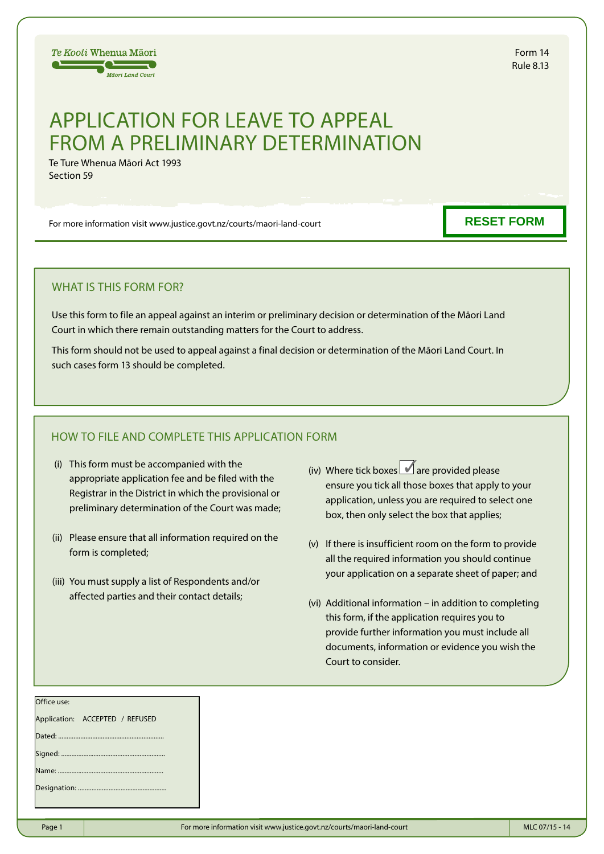

Form 14 Rule 8.13

## APPLICATION FOR LEAVE TO APPEAL FROM A PRELIMINARY DETERMINATION

Te Ture Whenua Māori Act 1993 Section 59

For more information visit www.justice.govt.nz/courts/maori-land-court

## **RESET FORM**

## WHAT IS THIS FORM FOR?

Use this form to file an appeal against an interim or preliminary decision or determination of the Māori Land Court in which there remain outstanding matters for the Court to address.

This form should not be used to appeal against a final decision or determination of the Māori Land Court. In such cases form 13 should be completed.

## HOW TO FILE AND COMPLETE THIS APPLICATION FORM

- (i) This form must be accompanied with the appropriate application fee and be filed with the Registrar in the District in which the provisional or preliminary determination of the Court was made;
- (ii) Please ensure that all information required on the form is completed;
- (iii) You must supply a list of Respondents and/or affected parties and their contact details;
- (iv) Where tick boxes  $\blacksquare$  are provided please ensure you tick all those boxes that apply to your application, unless you are required to select one box, then only select the box that applies;
- (v) If there is insufficient room on the form to provide all the required information you should continue your application on a separate sheet of paper; and
- (vi) Additional information in addition to completing this form, if the application requires you to provide further information you must include all documents, information or evidence you wish the Court to consider.

| Office use:                     |  |
|---------------------------------|--|
| Application: ACCEPTED / REFUSED |  |
|                                 |  |
|                                 |  |
|                                 |  |
|                                 |  |
|                                 |  |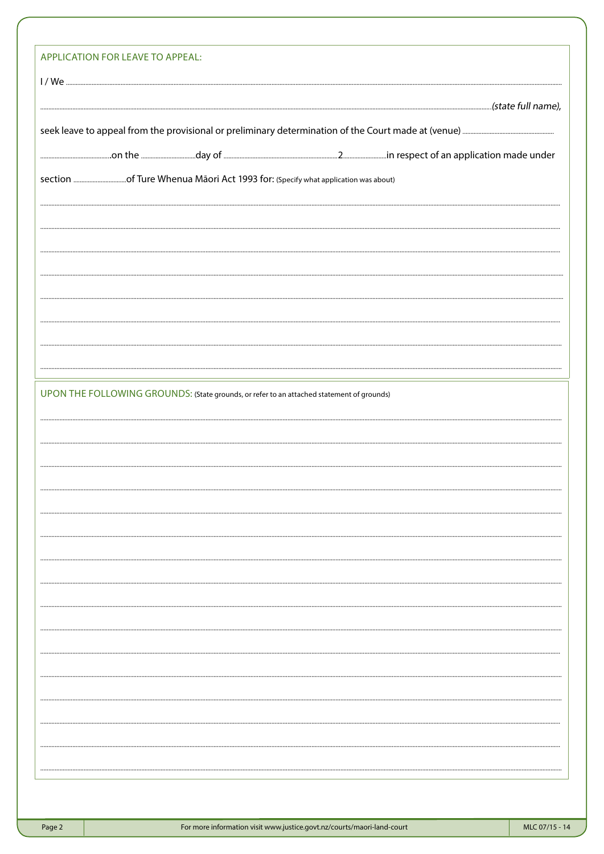| UPON THE FOLLOWING GROUNDS: (State grounds, or refer to an attached statement of grounds) |  |  |  |  |  |  |
|-------------------------------------------------------------------------------------------|--|--|--|--|--|--|
|                                                                                           |  |  |  |  |  |  |
|                                                                                           |  |  |  |  |  |  |
|                                                                                           |  |  |  |  |  |  |
|                                                                                           |  |  |  |  |  |  |
|                                                                                           |  |  |  |  |  |  |
|                                                                                           |  |  |  |  |  |  |
|                                                                                           |  |  |  |  |  |  |
|                                                                                           |  |  |  |  |  |  |
|                                                                                           |  |  |  |  |  |  |
|                                                                                           |  |  |  |  |  |  |
|                                                                                           |  |  |  |  |  |  |
|                                                                                           |  |  |  |  |  |  |
|                                                                                           |  |  |  |  |  |  |
|                                                                                           |  |  |  |  |  |  |
|                                                                                           |  |  |  |  |  |  |
|                                                                                           |  |  |  |  |  |  |